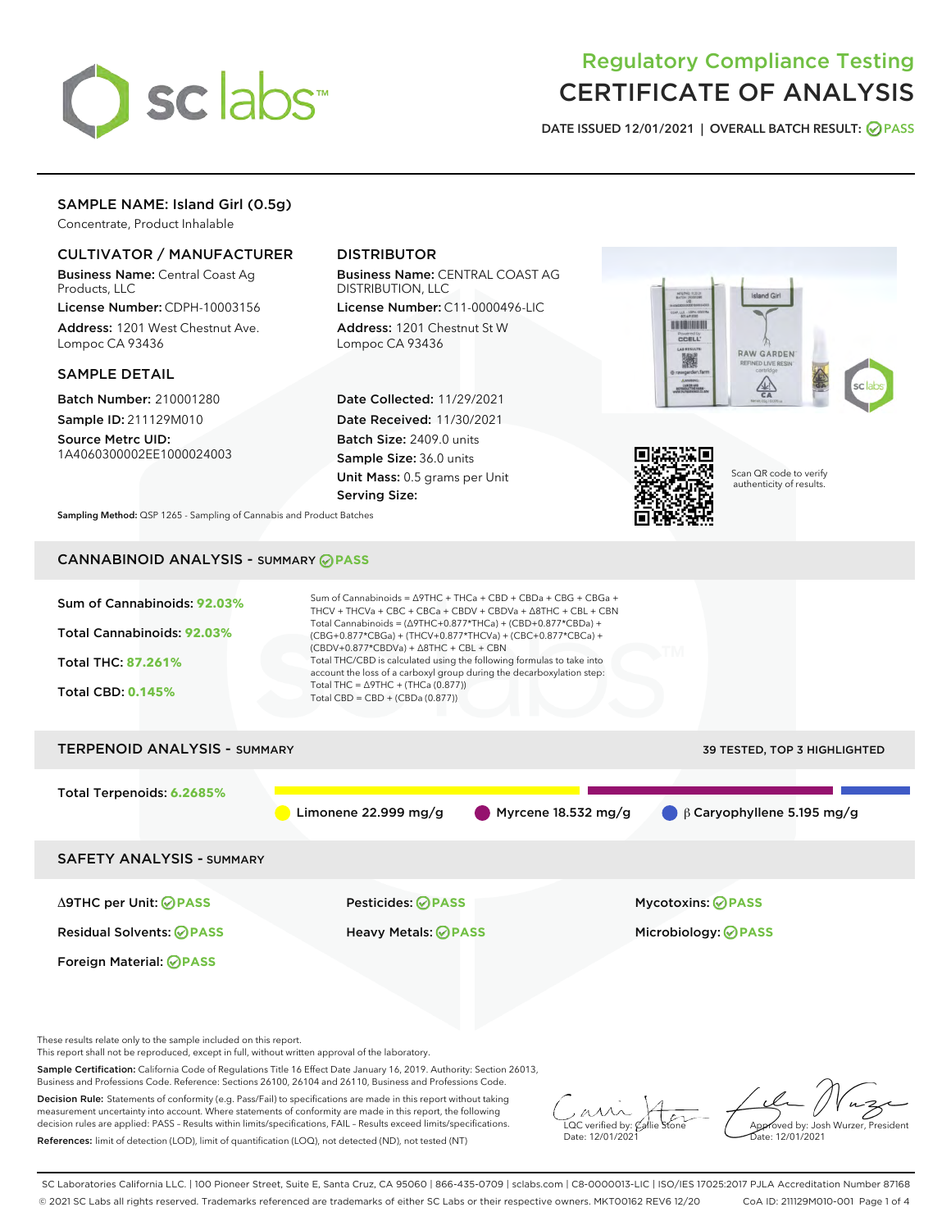

# Regulatory Compliance Testing CERTIFICATE OF ANALYSIS

DATE ISSUED 12/01/2021 | OVERALL BATCH RESULT: @ PASS

# SAMPLE NAME: Island Girl (0.5g)

Concentrate, Product Inhalable

# CULTIVATOR / MANUFACTURER

Business Name: Central Coast Ag Products, LLC

License Number: CDPH-10003156 Address: 1201 West Chestnut Ave. Lompoc CA 93436

## SAMPLE DETAIL

Batch Number: 210001280 Sample ID: 211129M010

Source Metrc UID: 1A4060300002EE1000024003

# DISTRIBUTOR

Business Name: CENTRAL COAST AG DISTRIBUTION, LLC

License Number: C11-0000496-LIC Address: 1201 Chestnut St W Lompoc CA 93436

Date Collected: 11/29/2021 Date Received: 11/30/2021 Batch Size: 2409.0 units Sample Size: 36.0 units Unit Mass: 0.5 grams per Unit Serving Size:





Scan QR code to verify authenticity of results.

Sampling Method: QSP 1265 - Sampling of Cannabis and Product Batches

# CANNABINOID ANALYSIS - SUMMARY **PASS**



Business and Professions Code. Reference: Sections 26100, 26104 and 26110, Business and Professions Code.

Decision Rule: Statements of conformity (e.g. Pass/Fail) to specifications are made in this report without taking measurement uncertainty into account. Where statements of conformity are made in this report, the following decision rules are applied: PASS – Results within limits/specifications, FAIL – Results exceed limits/specifications. References: limit of detection (LOD), limit of quantification (LOQ), not detected (ND), not tested (NT)

 $\overline{\text{LOC}}$  verified by:  $\mathcal{C}_i$ Date: 12/01/2021

Approved by: Josh Wurzer, President ate: 12/01/2021

SC Laboratories California LLC. | 100 Pioneer Street, Suite E, Santa Cruz, CA 95060 | 866-435-0709 | sclabs.com | C8-0000013-LIC | ISO/IES 17025:2017 PJLA Accreditation Number 87168 © 2021 SC Labs all rights reserved. Trademarks referenced are trademarks of either SC Labs or their respective owners. MKT00162 REV6 12/20 CoA ID: 211129M010-001 Page 1 of 4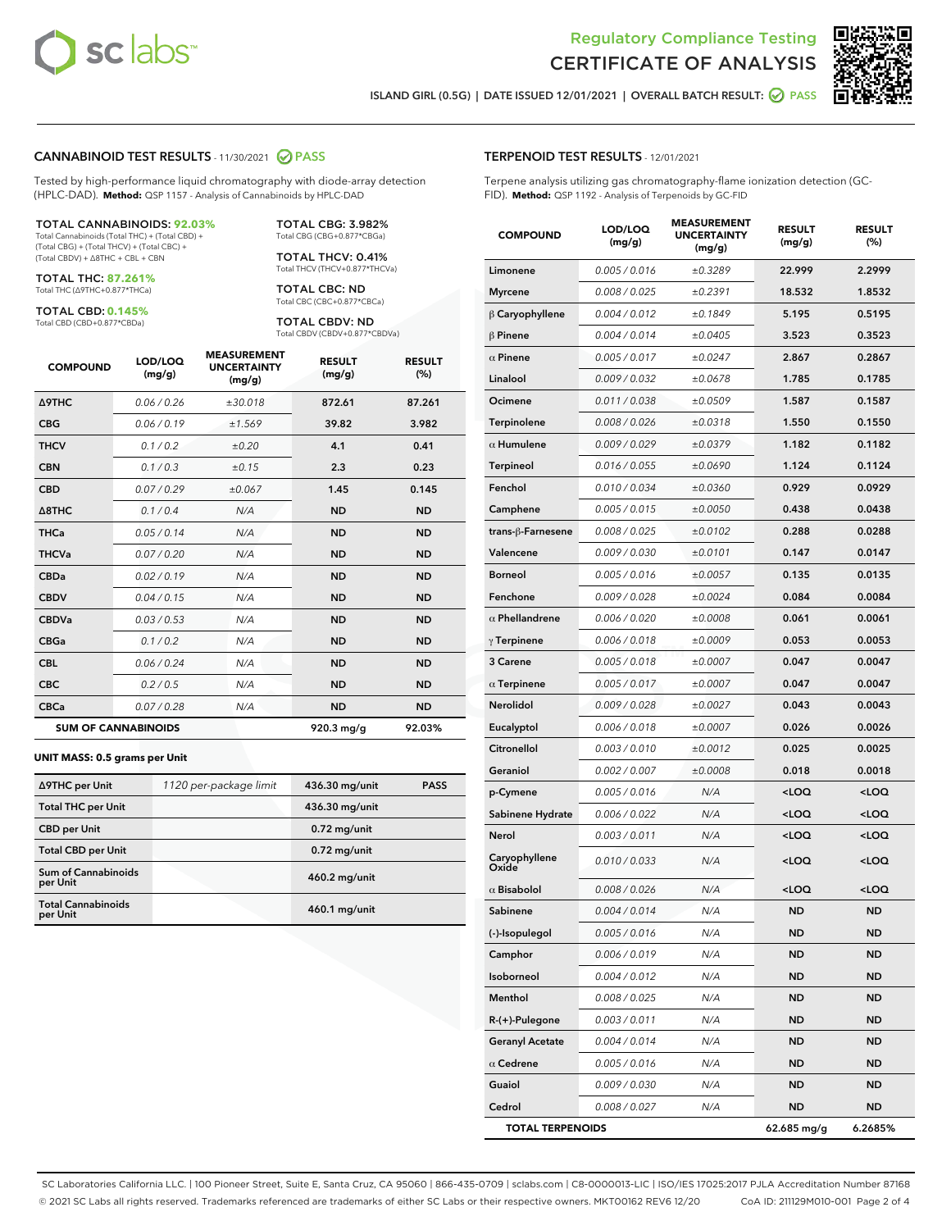



ISLAND GIRL (0.5G) | DATE ISSUED 12/01/2021 | OVERALL BATCH RESULT: **○** PASS

### CANNABINOID TEST RESULTS - 11/30/2021 2 PASS

Tested by high-performance liquid chromatography with diode-array detection (HPLC-DAD). **Method:** QSP 1157 - Analysis of Cannabinoids by HPLC-DAD

#### TOTAL CANNABINOIDS: **92.03%**

Total Cannabinoids (Total THC) + (Total CBD) + (Total CBG) + (Total THCV) + (Total CBC) + (Total CBDV) + ∆8THC + CBL + CBN

TOTAL THC: **87.261%** Total THC (∆9THC+0.877\*THCa)

TOTAL CBD: **0.145%**

Total CBD (CBD+0.877\*CBDa)

TOTAL CBG: 3.982% Total CBG (CBG+0.877\*CBGa)

TOTAL THCV: 0.41% Total THCV (THCV+0.877\*THCVa)

TOTAL CBC: ND Total CBC (CBC+0.877\*CBCa)

TOTAL CBDV: ND Total CBDV (CBDV+0.877\*CBDVa)

| <b>COMPOUND</b>            | LOD/LOQ<br>(mg/g) | <b>MEASUREMENT</b><br><b>UNCERTAINTY</b><br>(mg/g) | <b>RESULT</b><br>(mg/g) | <b>RESULT</b><br>(%) |
|----------------------------|-------------------|----------------------------------------------------|-------------------------|----------------------|
| <b>A9THC</b>               | 0.06 / 0.26       | ±30.018                                            | 872.61                  | 87.261               |
| <b>CBG</b>                 | 0.06/0.19         | ±1.569                                             | 39.82                   | 3.982                |
| <b>THCV</b>                | 0.1 / 0.2         | ±0.20                                              | 4.1                     | 0.41                 |
| <b>CBN</b>                 | 0.1 / 0.3         | ±0.15                                              | 2.3                     | 0.23                 |
| <b>CBD</b>                 | 0.07 / 0.29       | ±0.067                                             | 1.45                    | 0.145                |
| $\triangle$ 8THC           | 0.1 / 0.4         | N/A                                                | <b>ND</b>               | <b>ND</b>            |
| <b>THCa</b>                | 0.05/0.14         | N/A                                                | <b>ND</b>               | <b>ND</b>            |
| <b>THCVa</b>               | 0.07/0.20         | N/A                                                | <b>ND</b>               | <b>ND</b>            |
| <b>CBDa</b>                | 0.02/0.19         | N/A                                                | <b>ND</b>               | <b>ND</b>            |
| <b>CBDV</b>                | 0.04/0.15         | N/A                                                | <b>ND</b>               | <b>ND</b>            |
| <b>CBDVa</b>               | 0.03/0.53         | N/A                                                | <b>ND</b>               | <b>ND</b>            |
| <b>CBGa</b>                | 0.1/0.2           | N/A                                                | <b>ND</b>               | <b>ND</b>            |
| <b>CBL</b>                 | 0.06 / 0.24       | N/A                                                | <b>ND</b>               | <b>ND</b>            |
| <b>CBC</b>                 | 0.2 / 0.5         | N/A                                                | <b>ND</b>               | <b>ND</b>            |
| <b>CBCa</b>                | 0.07 / 0.28       | N/A                                                | <b>ND</b>               | <b>ND</b>            |
| <b>SUM OF CANNABINOIDS</b> |                   |                                                    | $920.3$ mg/g            | 92.03%               |

#### **UNIT MASS: 0.5 grams per Unit**

| ∆9THC per Unit                         | 1120 per-package limit | 436.30 mg/unit  | <b>PASS</b> |
|----------------------------------------|------------------------|-----------------|-------------|
| <b>Total THC per Unit</b>              |                        | 436.30 mg/unit  |             |
| <b>CBD</b> per Unit                    |                        | $0.72$ mg/unit  |             |
| <b>Total CBD per Unit</b>              |                        | $0.72$ mg/unit  |             |
| <b>Sum of Cannabinoids</b><br>per Unit |                        | 460.2 mg/unit   |             |
| <b>Total Cannabinoids</b><br>per Unit  |                        | $460.1$ mg/unit |             |

| <b>COMPOUND</b>         | LOD/LOQ<br>(mg/g) | <b>MEASUREMENI</b><br><b>UNCERTAINTY</b><br>(mq/q) | <b>RESULT</b><br>(mg/g)                         | <b>RESULT</b><br>$(\%)$ |
|-------------------------|-------------------|----------------------------------------------------|-------------------------------------------------|-------------------------|
| Limonene                | 0.005 / 0.016     | ±0.3289                                            | 22.999                                          | 2.2999                  |
| <b>Myrcene</b>          | 0.008 / 0.025     | ±0.2391                                            | 18.532                                          | 1.8532                  |
| $\beta$ Caryophyllene   | 0.004 / 0.012     | ±0.1849                                            | 5.195                                           | 0.5195                  |
| $\beta$ Pinene          | 0.004 / 0.014     | ±0.0405                                            | 3.523                                           | 0.3523                  |
| $\alpha$ Pinene         | 0.005 / 0.017     | ±0.0247                                            | 2.867                                           | 0.2867                  |
| Linalool                | 0.009 / 0.032     | ±0.0678                                            | 1.785                                           | 0.1785                  |
| Ocimene                 | 0.011 / 0.038     | ±0.0509                                            | 1.587                                           | 0.1587                  |
| Terpinolene             | 0.008 / 0.026     | ±0.0318                                            | 1.550                                           | 0.1550                  |
| $\alpha$ Humulene       | 0.009 / 0.029     | ±0.0379                                            | 1.182                                           | 0.1182                  |
| <b>Terpineol</b>        | 0.016 / 0.055     | ±0.0690                                            | 1.124                                           | 0.1124                  |
| Fenchol                 | 0.010 / 0.034     | ±0.0360                                            | 0.929                                           | 0.0929                  |
| Camphene                | 0.005 / 0.015     | ±0.0050                                            | 0.438                                           | 0.0438                  |
| trans-β-Farnesene       | 0.008 / 0.025     | ±0.0102                                            | 0.288                                           | 0.0288                  |
| Valencene               | 0.009 / 0.030     | ±0.0101                                            | 0.147                                           | 0.0147                  |
| <b>Borneol</b>          | 0.005 / 0.016     | ±0.0057                                            | 0.135                                           | 0.0135                  |
| Fenchone                | 0.009 / 0.028     | ±0.0024                                            | 0.084                                           | 0.0084                  |
| $\alpha$ Phellandrene   | 0.006 / 0.020     | ±0.0008                                            | 0.061                                           | 0.0061                  |
| $\gamma$ Terpinene      | 0.006 / 0.018     | ±0.0009                                            | 0.053                                           | 0.0053                  |
| 3 Carene                | 0.005 / 0.018     | ±0.0007                                            | 0.047                                           | 0.0047                  |
| $\alpha$ Terpinene      | 0.005 / 0.017     | ±0.0007                                            | 0.047                                           | 0.0047                  |
| Nerolidol               | 0.009 / 0.028     | ±0.0027                                            | 0.043                                           | 0.0043                  |
| Eucalyptol              | 0.006 / 0.018     | ±0.0007                                            | 0.026                                           | 0.0026                  |
| Citronellol             | 0.003 / 0.010     | ±0.0012                                            | 0.025                                           | 0.0025                  |
| Geraniol                | 0.002 / 0.007     | ±0.0008                                            | 0.018                                           | 0.0018                  |
| p-Cymene                | 0.005 / 0.016     | N/A                                                | <loq< th=""><th><loq< th=""></loq<></th></loq<> | <loq< th=""></loq<>     |
| Sabinene Hydrate        | 0.006 / 0.022     | N/A                                                | <loq< th=""><th><loq< th=""></loq<></th></loq<> | <loq< th=""></loq<>     |
| Nerol                   | 0.003 / 0.011     | N/A                                                | <loq< th=""><th><loq< th=""></loq<></th></loq<> | <loq< th=""></loq<>     |
| Caryophyllene<br>Oxide  | 0.010 / 0.033     | N/A                                                | <loq< th=""><th><loq< th=""></loq<></th></loq<> | <loq< th=""></loq<>     |
| $\alpha$ Bisabolol      | 0.008 / 0.026     | N/A                                                | <loq< th=""><th><loq< th=""></loq<></th></loq<> | <loq< th=""></loq<>     |
| Sabinene                | 0.004 / 0.014     | N/A                                                | <b>ND</b>                                       | <b>ND</b>               |
| (-)-Isopulegol          | 0.005 / 0.016     | N/A                                                | ND                                              | ND                      |
| Camphor                 | 0.006 / 0.019     | N/A                                                | ND                                              | ND                      |
| Isoborneol              | 0.004 / 0.012     | N/A                                                | ND                                              | ND                      |
| Menthol                 | 0.008 / 0.025     | N/A                                                | ND                                              | ND                      |
| R-(+)-Pulegone          | 0.003 / 0.011     | N/A                                                | ND                                              | ND                      |
| <b>Geranyl Acetate</b>  | 0.004 / 0.014     | N/A                                                | ND                                              | <b>ND</b>               |
| $\alpha$ Cedrene        | 0.005 / 0.016     | N/A                                                | ND                                              | ND                      |
| Guaiol                  | 0.009 / 0.030     | N/A                                                | ND                                              | ND                      |
| Cedrol                  | 0.008 / 0.027     | N/A                                                | ND                                              | ND                      |
| <b>TOTAL TERPENOIDS</b> |                   |                                                    | 62.685 mg/g                                     | 6.2685%                 |

SC Laboratories California LLC. | 100 Pioneer Street, Suite E, Santa Cruz, CA 95060 | 866-435-0709 | sclabs.com | C8-0000013-LIC | ISO/IES 17025:2017 PJLA Accreditation Number 87168 © 2021 SC Labs all rights reserved. Trademarks referenced are trademarks of either SC Labs or their respective owners. MKT00162 REV6 12/20 CoA ID: 211129M010-001 Page 2 of 4

# TERPENOID TEST RESULTS - 12/01/2021

Terpene analysis utilizing gas chromatography-flame ionization detection (GC-FID). **Method:** QSP 1192 - Analysis of Terpenoids by GC-FID

MEASUREMENT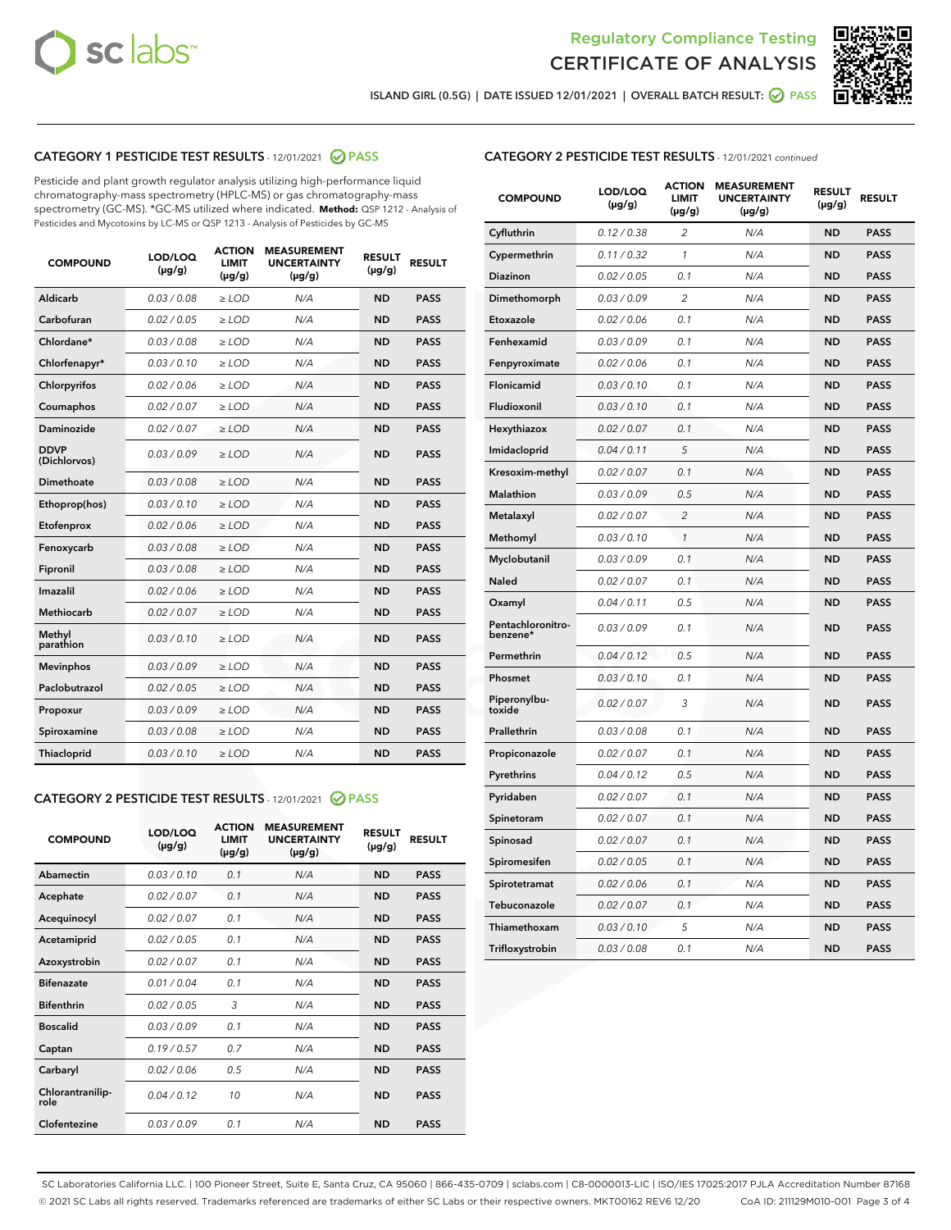



ISLAND GIRL (0.5G) | DATE ISSUED 12/01/2021 | OVERALL BATCH RESULT: ◯ PASS

# CATEGORY 1 PESTICIDE TEST RESULTS - 12/01/2021 2 PASS

Pesticide and plant growth regulator analysis utilizing high-performance liquid chromatography-mass spectrometry (HPLC-MS) or gas chromatography-mass spectrometry (GC-MS). \*GC-MS utilized where indicated. **Method:** QSP 1212 - Analysis of Pesticides and Mycotoxins by LC-MS or QSP 1213 - Analysis of Pesticides by GC-MS

| 0.03 / 0.08<br><b>ND</b><br><b>PASS</b><br>Aldicarb<br>$\ge$ LOD<br>N/A<br>Carbofuran<br>0.02 / 0.05<br>$\ge$ LOD<br>N/A<br><b>ND</b><br><b>PASS</b><br>Chlordane*<br>0.03 / 0.08<br>$\ge$ LOD<br>N/A<br><b>ND</b><br><b>PASS</b><br>Chlorfenapyr*<br>0.03/0.10<br>$\ge$ LOD<br>N/A<br><b>ND</b><br><b>PASS</b><br>Chlorpyrifos<br>0.02 / 0.06<br>N/A<br><b>ND</b><br><b>PASS</b><br>$\ge$ LOD<br>Coumaphos<br>0.02 / 0.07<br>N/A<br><b>ND</b><br><b>PASS</b><br>$\ge$ LOD<br>Daminozide<br>0.02 / 0.07<br>N/A<br><b>ND</b><br><b>PASS</b><br>$\ge$ LOD<br><b>DDVP</b><br>0.03/0.09<br>$>$ LOD<br>N/A<br><b>ND</b><br><b>PASS</b><br>(Dichlorvos)<br>Dimethoate<br>0.03 / 0.08<br>$\ge$ LOD<br><b>ND</b><br><b>PASS</b><br>N/A<br>0.03/0.10<br>N/A<br><b>ND</b><br><b>PASS</b><br>Ethoprop(hos)<br>$>$ LOD<br>0.02 / 0.06<br>N/A<br><b>ND</b><br><b>PASS</b><br>$\ge$ LOD<br>Etofenprox<br>Fenoxycarb<br>0.03 / 0.08<br>$\ge$ LOD<br>N/A<br><b>ND</b><br><b>PASS</b><br>0.03 / 0.08<br>$\ge$ LOD<br>N/A<br><b>ND</b><br><b>PASS</b><br>Fipronil<br>Imazalil<br>0.02 / 0.06<br>$>$ LOD<br>N/A<br><b>ND</b><br><b>PASS</b><br><b>Methiocarb</b><br>0.02 / 0.07<br>$\ge$ LOD<br>N/A<br><b>ND</b><br><b>PASS</b><br>Methyl<br>0.03/0.10<br>N/A<br><b>ND</b><br><b>PASS</b><br>$\ge$ LOD<br>parathion<br>0.03/0.09<br><b>Mevinphos</b><br>$\ge$ LOD<br>N/A<br><b>ND</b><br><b>PASS</b><br>Paclobutrazol<br>0.02 / 0.05<br>$>$ LOD<br>N/A<br><b>ND</b><br><b>PASS</b><br>0.03/0.09<br>N/A<br>$\ge$ LOD<br><b>ND</b><br><b>PASS</b><br>Propoxur<br>0.03 / 0.08<br><b>ND</b><br><b>PASS</b><br>Spiroxamine<br>$\ge$ LOD<br>N/A<br>Thiacloprid<br>0.03/0.10<br>$\ge$ LOD<br>N/A<br><b>ND</b><br><b>PASS</b> | <b>COMPOUND</b> | LOD/LOQ<br>$(\mu g/g)$ | <b>ACTION</b><br><b>LIMIT</b><br>$(\mu g/g)$ | <b>MEASUREMENT</b><br><b>UNCERTAINTY</b><br>$(\mu g/g)$ | <b>RESULT</b><br>$(\mu g/g)$ | <b>RESULT</b> |
|----------------------------------------------------------------------------------------------------------------------------------------------------------------------------------------------------------------------------------------------------------------------------------------------------------------------------------------------------------------------------------------------------------------------------------------------------------------------------------------------------------------------------------------------------------------------------------------------------------------------------------------------------------------------------------------------------------------------------------------------------------------------------------------------------------------------------------------------------------------------------------------------------------------------------------------------------------------------------------------------------------------------------------------------------------------------------------------------------------------------------------------------------------------------------------------------------------------------------------------------------------------------------------------------------------------------------------------------------------------------------------------------------------------------------------------------------------------------------------------------------------------------------------------------------------------------------------------------------------------------------------------------------------------------------------------------------|-----------------|------------------------|----------------------------------------------|---------------------------------------------------------|------------------------------|---------------|
|                                                                                                                                                                                                                                                                                                                                                                                                                                                                                                                                                                                                                                                                                                                                                                                                                                                                                                                                                                                                                                                                                                                                                                                                                                                                                                                                                                                                                                                                                                                                                                                                                                                                                                    |                 |                        |                                              |                                                         |                              |               |
|                                                                                                                                                                                                                                                                                                                                                                                                                                                                                                                                                                                                                                                                                                                                                                                                                                                                                                                                                                                                                                                                                                                                                                                                                                                                                                                                                                                                                                                                                                                                                                                                                                                                                                    |                 |                        |                                              |                                                         |                              |               |
|                                                                                                                                                                                                                                                                                                                                                                                                                                                                                                                                                                                                                                                                                                                                                                                                                                                                                                                                                                                                                                                                                                                                                                                                                                                                                                                                                                                                                                                                                                                                                                                                                                                                                                    |                 |                        |                                              |                                                         |                              |               |
|                                                                                                                                                                                                                                                                                                                                                                                                                                                                                                                                                                                                                                                                                                                                                                                                                                                                                                                                                                                                                                                                                                                                                                                                                                                                                                                                                                                                                                                                                                                                                                                                                                                                                                    |                 |                        |                                              |                                                         |                              |               |
|                                                                                                                                                                                                                                                                                                                                                                                                                                                                                                                                                                                                                                                                                                                                                                                                                                                                                                                                                                                                                                                                                                                                                                                                                                                                                                                                                                                                                                                                                                                                                                                                                                                                                                    |                 |                        |                                              |                                                         |                              |               |
|                                                                                                                                                                                                                                                                                                                                                                                                                                                                                                                                                                                                                                                                                                                                                                                                                                                                                                                                                                                                                                                                                                                                                                                                                                                                                                                                                                                                                                                                                                                                                                                                                                                                                                    |                 |                        |                                              |                                                         |                              |               |
|                                                                                                                                                                                                                                                                                                                                                                                                                                                                                                                                                                                                                                                                                                                                                                                                                                                                                                                                                                                                                                                                                                                                                                                                                                                                                                                                                                                                                                                                                                                                                                                                                                                                                                    |                 |                        |                                              |                                                         |                              |               |
|                                                                                                                                                                                                                                                                                                                                                                                                                                                                                                                                                                                                                                                                                                                                                                                                                                                                                                                                                                                                                                                                                                                                                                                                                                                                                                                                                                                                                                                                                                                                                                                                                                                                                                    |                 |                        |                                              |                                                         |                              |               |
|                                                                                                                                                                                                                                                                                                                                                                                                                                                                                                                                                                                                                                                                                                                                                                                                                                                                                                                                                                                                                                                                                                                                                                                                                                                                                                                                                                                                                                                                                                                                                                                                                                                                                                    |                 |                        |                                              |                                                         |                              |               |
|                                                                                                                                                                                                                                                                                                                                                                                                                                                                                                                                                                                                                                                                                                                                                                                                                                                                                                                                                                                                                                                                                                                                                                                                                                                                                                                                                                                                                                                                                                                                                                                                                                                                                                    |                 |                        |                                              |                                                         |                              |               |
|                                                                                                                                                                                                                                                                                                                                                                                                                                                                                                                                                                                                                                                                                                                                                                                                                                                                                                                                                                                                                                                                                                                                                                                                                                                                                                                                                                                                                                                                                                                                                                                                                                                                                                    |                 |                        |                                              |                                                         |                              |               |
|                                                                                                                                                                                                                                                                                                                                                                                                                                                                                                                                                                                                                                                                                                                                                                                                                                                                                                                                                                                                                                                                                                                                                                                                                                                                                                                                                                                                                                                                                                                                                                                                                                                                                                    |                 |                        |                                              |                                                         |                              |               |
|                                                                                                                                                                                                                                                                                                                                                                                                                                                                                                                                                                                                                                                                                                                                                                                                                                                                                                                                                                                                                                                                                                                                                                                                                                                                                                                                                                                                                                                                                                                                                                                                                                                                                                    |                 |                        |                                              |                                                         |                              |               |
|                                                                                                                                                                                                                                                                                                                                                                                                                                                                                                                                                                                                                                                                                                                                                                                                                                                                                                                                                                                                                                                                                                                                                                                                                                                                                                                                                                                                                                                                                                                                                                                                                                                                                                    |                 |                        |                                              |                                                         |                              |               |
|                                                                                                                                                                                                                                                                                                                                                                                                                                                                                                                                                                                                                                                                                                                                                                                                                                                                                                                                                                                                                                                                                                                                                                                                                                                                                                                                                                                                                                                                                                                                                                                                                                                                                                    |                 |                        |                                              |                                                         |                              |               |
|                                                                                                                                                                                                                                                                                                                                                                                                                                                                                                                                                                                                                                                                                                                                                                                                                                                                                                                                                                                                                                                                                                                                                                                                                                                                                                                                                                                                                                                                                                                                                                                                                                                                                                    |                 |                        |                                              |                                                         |                              |               |
|                                                                                                                                                                                                                                                                                                                                                                                                                                                                                                                                                                                                                                                                                                                                                                                                                                                                                                                                                                                                                                                                                                                                                                                                                                                                                                                                                                                                                                                                                                                                                                                                                                                                                                    |                 |                        |                                              |                                                         |                              |               |
|                                                                                                                                                                                                                                                                                                                                                                                                                                                                                                                                                                                                                                                                                                                                                                                                                                                                                                                                                                                                                                                                                                                                                                                                                                                                                                                                                                                                                                                                                                                                                                                                                                                                                                    |                 |                        |                                              |                                                         |                              |               |
|                                                                                                                                                                                                                                                                                                                                                                                                                                                                                                                                                                                                                                                                                                                                                                                                                                                                                                                                                                                                                                                                                                                                                                                                                                                                                                                                                                                                                                                                                                                                                                                                                                                                                                    |                 |                        |                                              |                                                         |                              |               |
|                                                                                                                                                                                                                                                                                                                                                                                                                                                                                                                                                                                                                                                                                                                                                                                                                                                                                                                                                                                                                                                                                                                                                                                                                                                                                                                                                                                                                                                                                                                                                                                                                                                                                                    |                 |                        |                                              |                                                         |                              |               |
|                                                                                                                                                                                                                                                                                                                                                                                                                                                                                                                                                                                                                                                                                                                                                                                                                                                                                                                                                                                                                                                                                                                                                                                                                                                                                                                                                                                                                                                                                                                                                                                                                                                                                                    |                 |                        |                                              |                                                         |                              |               |

#### CATEGORY 2 PESTICIDE TEST RESULTS - 12/01/2021 @ PASS

| <b>COMPOUND</b>          | LOD/LOO<br>$(\mu g/g)$ | <b>ACTION</b><br>LIMIT<br>$(\mu g/g)$ | <b>MEASUREMENT</b><br><b>UNCERTAINTY</b><br>$(\mu g/g)$ | <b>RESULT</b><br>$(\mu g/g)$ | <b>RESULT</b> |  |
|--------------------------|------------------------|---------------------------------------|---------------------------------------------------------|------------------------------|---------------|--|
| Abamectin                | 0.03/0.10              | 0.1                                   | N/A                                                     | <b>ND</b>                    | <b>PASS</b>   |  |
| Acephate                 | 0.02/0.07              | 0.1                                   | N/A                                                     | <b>ND</b>                    | <b>PASS</b>   |  |
| Acequinocyl              | 0.02/0.07              | 0.1                                   | N/A                                                     | <b>ND</b>                    | <b>PASS</b>   |  |
| Acetamiprid              | 0.02 / 0.05            | 0.1                                   | N/A                                                     | <b>ND</b>                    | <b>PASS</b>   |  |
| Azoxystrobin             | 0.02/0.07              | 0.1                                   | N/A                                                     | <b>ND</b>                    | <b>PASS</b>   |  |
| <b>Bifenazate</b>        | 0.01 / 0.04            | 0.1                                   | N/A                                                     | <b>ND</b>                    | <b>PASS</b>   |  |
| <b>Bifenthrin</b>        | 0.02 / 0.05            | 3                                     | N/A                                                     | <b>ND</b>                    | <b>PASS</b>   |  |
| <b>Boscalid</b>          | 0.03/0.09              | 0.1                                   | N/A                                                     | <b>ND</b>                    | <b>PASS</b>   |  |
| Captan                   | 0.19/0.57              | 0.7                                   | N/A                                                     | <b>ND</b>                    | <b>PASS</b>   |  |
| Carbaryl                 | 0.02/0.06              | 0.5                                   | N/A                                                     | <b>ND</b>                    | <b>PASS</b>   |  |
| Chlorantranilip-<br>role | 0.04/0.12              | 10                                    | N/A                                                     | <b>ND</b>                    | <b>PASS</b>   |  |
| Clofentezine             | 0.03/0.09              | 0.1                                   | N/A                                                     | <b>ND</b>                    | <b>PASS</b>   |  |

| <b>CATEGORY 2 PESTICIDE TEST RESULTS</b> - 12/01/2021 continued |  |
|-----------------------------------------------------------------|--|
|                                                                 |  |

| <b>COMPOUND</b>               | LOD/LOQ<br>(µg/g) | <b>ACTION</b><br><b>LIMIT</b><br>(µg/g) | <b>MEASUREMENT</b><br><b>UNCERTAINTY</b><br>$(\mu g/g)$ | <b>RESULT</b><br>(µg/g) | <b>RESULT</b> |
|-------------------------------|-------------------|-----------------------------------------|---------------------------------------------------------|-------------------------|---------------|
| Cyfluthrin                    | 0.12 / 0.38       | $\overline{c}$                          | N/A                                                     | <b>ND</b>               | <b>PASS</b>   |
| Cypermethrin                  | 0.11 / 0.32       | 1                                       | N/A                                                     | <b>ND</b>               | <b>PASS</b>   |
| <b>Diazinon</b>               | 0.02 / 0.05       | 0.1                                     | N/A                                                     | <b>ND</b>               | <b>PASS</b>   |
| Dimethomorph                  | 0.03 / 0.09       | 2                                       | N/A                                                     | <b>ND</b>               | <b>PASS</b>   |
| Etoxazole                     | 0.02 / 0.06       | 0.1                                     | N/A                                                     | <b>ND</b>               | <b>PASS</b>   |
| Fenhexamid                    | 0.03 / 0.09       | 0.1                                     | N/A                                                     | <b>ND</b>               | <b>PASS</b>   |
| Fenpyroximate                 | 0.02 / 0.06       | 0.1                                     | N/A                                                     | <b>ND</b>               | <b>PASS</b>   |
| Flonicamid                    | 0.03 / 0.10       | 0.1                                     | N/A                                                     | <b>ND</b>               | <b>PASS</b>   |
| Fludioxonil                   | 0.03 / 0.10       | 0.1                                     | N/A                                                     | <b>ND</b>               | <b>PASS</b>   |
| Hexythiazox                   | 0.02 / 0.07       | 0.1                                     | N/A                                                     | <b>ND</b>               | <b>PASS</b>   |
| Imidacloprid                  | 0.04 / 0.11       | 5                                       | N/A                                                     | <b>ND</b>               | <b>PASS</b>   |
| Kresoxim-methyl               | 0.02 / 0.07       | 0.1                                     | N/A                                                     | <b>ND</b>               | <b>PASS</b>   |
| Malathion                     | 0.03 / 0.09       | 0.5                                     | N/A                                                     | <b>ND</b>               | <b>PASS</b>   |
| Metalaxyl                     | 0.02 / 0.07       | $\overline{c}$                          | N/A                                                     | <b>ND</b>               | <b>PASS</b>   |
| Methomyl                      | 0.03 / 0.10       | $\mathcal{I}$                           | N/A                                                     | <b>ND</b>               | <b>PASS</b>   |
| Myclobutanil                  | 0.03 / 0.09       | 0.1                                     | N/A                                                     | <b>ND</b>               | <b>PASS</b>   |
| <b>Naled</b>                  | 0.02 / 0.07       | 0.1                                     | N/A                                                     | <b>ND</b>               | <b>PASS</b>   |
| Oxamyl                        | 0.04 / 0.11       | 0.5                                     | N/A                                                     | <b>ND</b>               | <b>PASS</b>   |
| Pentachloronitro-<br>benzene* | 0.03/0.09         | 0.1                                     | N/A                                                     | <b>ND</b>               | <b>PASS</b>   |
| Permethrin                    | 0.04 / 0.12       | 0.5                                     | N/A                                                     | <b>ND</b>               | <b>PASS</b>   |
| Phosmet                       | 0.03 / 0.10       | 0.1                                     | N/A                                                     | <b>ND</b>               | <b>PASS</b>   |
| Piperonylbu-<br>toxide        | 0.02 / 0.07       | 3                                       | N/A                                                     | <b>ND</b>               | <b>PASS</b>   |
| Prallethrin                   | 0.03 / 0.08       | 0.1                                     | N/A                                                     | <b>ND</b>               | <b>PASS</b>   |
| Propiconazole                 | 0.02 / 0.07       | 0.1                                     | N/A                                                     | <b>ND</b>               | <b>PASS</b>   |
| Pyrethrins                    | 0.04 / 0.12       | 0.5                                     | N/A                                                     | <b>ND</b>               | <b>PASS</b>   |
| Pyridaben                     | 0.02 / 0.07       | 0.1                                     | N/A                                                     | <b>ND</b>               | <b>PASS</b>   |
| Spinetoram                    | 0.02 / 0.07       | 0.1                                     | N/A                                                     | <b>ND</b>               | <b>PASS</b>   |
| Spinosad                      | 0.02 / 0.07       | 0.1                                     | N/A                                                     | <b>ND</b>               | <b>PASS</b>   |
| Spiromesifen                  | 0.02 / 0.05       | 0.1                                     | N/A                                                     | <b>ND</b>               | <b>PASS</b>   |
| Spirotetramat                 | 0.02 / 0.06       | 0.1                                     | N/A                                                     | ND                      | <b>PASS</b>   |
| Tebuconazole                  | 0.02 / 0.07       | 0.1                                     | N/A                                                     | <b>ND</b>               | <b>PASS</b>   |
| Thiamethoxam                  | 0.03 / 0.10       | 5                                       | N/A                                                     | <b>ND</b>               | <b>PASS</b>   |
| Trifloxystrobin               | 0.03 / 0.08       | 0.1                                     | N/A                                                     | <b>ND</b>               | <b>PASS</b>   |

SC Laboratories California LLC. | 100 Pioneer Street, Suite E, Santa Cruz, CA 95060 | 866-435-0709 | sclabs.com | C8-0000013-LIC | ISO/IES 17025:2017 PJLA Accreditation Number 87168 © 2021 SC Labs all rights reserved. Trademarks referenced are trademarks of either SC Labs or their respective owners. MKT00162 REV6 12/20 CoA ID: 211129M010-001 Page 3 of 4